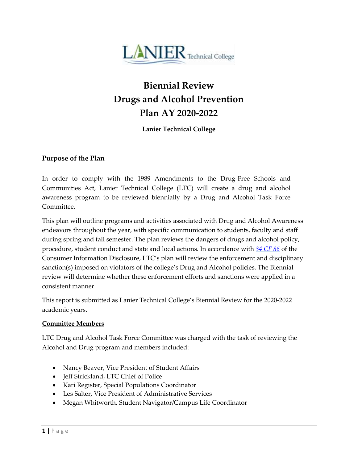

# **Biennial Review Drugs and Alcohol Prevention Plan AY 2020-2022**

**Lanier Technical College**

## **Purpose of the Plan**

In order to comply with the 1989 Amendments to the Drug-Free Schools and Communities Act, Lanier Technical College (LTC) will create a drug and alcohol awareness program to be reviewed biennially by a Drug and Alcohol Task Force Committee.

This plan will outline programs and activities associated with Drug and Alcohol Awareness endeavors throughout the year, with specific communication to students, faculty and staff during spring and fall semester. The plan reviews the dangers of drugs and alcohol policy, procedure, student conduct and state and local actions. In accordance with *[34 CF 86](https://www.ecfr.gov/cgi-bin/text-idx?tpl=/ecfrbrowse/Title34/34cfr86_main_02.tpl)* of the Consumer Information Disclosure, LTC's plan will review the enforcement and disciplinary sanction(s) imposed on violators of the college's Drug and Alcohol policies. The Biennial review will determine whether these enforcement efforts and sanctions were applied in a consistent manner.

This report is submitted as Lanier Technical College's Biennial Review for the 2020-2022 academic years.

### **Committee Members**

LTC Drug and Alcohol Task Force Committee was charged with the task of reviewing the Alcohol and Drug program and members included:

- Nancy Beaver, Vice President of Student Affairs
- Jeff Strickland, LTC Chief of Police
- Kari Register, Special Populations Coordinator
- Les Salter, Vice President of Administrative Services
- Megan Whitworth, Student Navigator/Campus Life Coordinator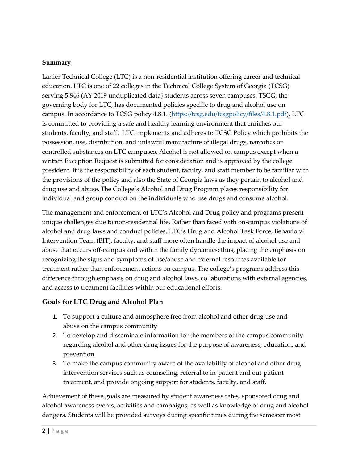## **Summary**

Lanier Technical College (LTC) is a non-residential institution offering career and technical education. LTC is one of 22 colleges in the Technical College System of Georgia (TCSG) serving 5,846 (AY 2019 unduplicated data) students across seven campuses. TSCG, the governing body for LTC, has documented policies specific to drug and alcohol use on campus. In accordance to TCSG policy 4.8.1. [\(https://tcsg.edu/tcsgpolicy/files/4.8.1.pdf\)](https://tcsg.edu/tcsgpolicy/files/4.8.1.pdf), LTC is committed to providing a safe and healthy learning environment that enriches our students, faculty, and staff. LTC implements and adheres to TCSG Policy which prohibits the possession, use, distribution, and unlawful manufacture of illegal drugs, narcotics or controlled substances on LTC campuses. Alcohol is not allowed on campus except when a written Exception Request is submitted for consideration and is approved by the college president. It is the responsibility of each student, faculty, and staff member to be familiar with the provisions of the policy and also the State of Georgia laws as they pertain to alcohol and drug use and abuse. The College's Alcohol and Drug Program places responsibility for individual and group conduct on the individuals who use drugs and consume alcohol.

The management and enforcement of LTC's Alcohol and Drug policy and programs present unique challenges due to non-residential life. Rather than faced with on-campus violations of alcohol and drug laws and conduct policies, LTC's Drug and Alcohol Task Force, Behavioral Intervention Team (BIT), faculty, and staff more often handle the impact of alcohol use and abuse that occurs off-campus and within the family dynamics; thus, placing the emphasis on recognizing the signs and symptoms of use/abuse and external resources available for treatment rather than enforcement actions on campus. The college's programs address this difference through emphasis on drug and alcohol laws, collaborations with external agencies, and access to treatment facilities within our educational efforts.

## **Goals for LTC Drug and Alcohol Plan**

- 1. To support a culture and atmosphere free from alcohol and other drug use and abuse on the campus community
- 2. To develop and disseminate information for the members of the campus community regarding alcohol and other drug issues for the purpose of awareness, education, and prevention
- 3. To make the campus community aware of the availability of alcohol and other drug intervention services such as counseling, referral to in-patient and out-patient treatment, and provide ongoing support for students, faculty, and staff.

Achievement of these goals are measured by student awareness rates, sponsored drug and alcohol awareness events, activities and campaigns, as well as knowledge of drug and alcohol dangers. Students will be provided surveys during specific times during the semester most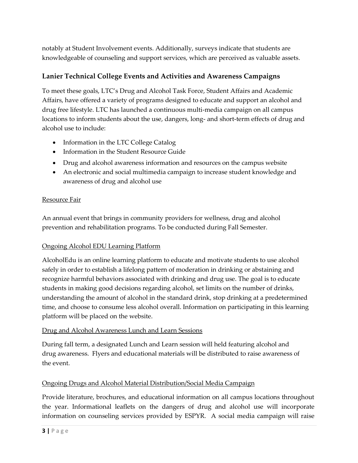notably at Student Involvement events. Additionally, surveys indicate that students are knowledgeable of counseling and support services, which are perceived as valuable assets.

# **Lanier Technical College Events and Activities and Awareness Campaigns**

To meet these goals, LTC's Drug and Alcohol Task Force, Student Affairs and Academic Affairs, have offered a variety of programs designed to educate and support an alcohol and drug free lifestyle. LTC has launched a continuous multi-media campaign on all campus locations to inform students about the use, dangers, long- and short-term effects of drug and alcohol use to include:

- Information in the LTC College Catalog
- Information in the Student Resource Guide
- Drug and alcohol awareness information and resources on the campus website
- An electronic and social multimedia campaign to increase student knowledge and awareness of drug and alcohol use

### Resource Fair

An annual event that brings in community providers for wellness, drug and alcohol prevention and rehabilitation programs. To be conducted during Fall Semester.

### Ongoing Alcohol EDU Learning Platform

AlcoholEdu is an online learning platform to educate and motivate students to use alcohol safely in order to establish a lifelong pattern of moderation in drinking or abstaining and recognize harmful behaviors associated with drinking and drug use. The goal is to educate students in making good decisions regarding alcohol, set limits on the number of drinks, understanding the amount of alcohol in the standard drink, stop drinking at a predetermined time, and choose to consume less alcohol overall. Information on participating in this learning platform will be placed on the website.

### Drug and Alcohol Awareness Lunch and Learn Sessions

During fall term, a designated Lunch and Learn session will held featuring alcohol and drug awareness. Flyers and educational materials will be distributed to raise awareness of the event.

## Ongoing Drugs and Alcohol Material Distribution/Social Media Campaign

Provide literature, brochures, and educational information on all campus locations throughout the year. Informational leaflets on the dangers of drug and alcohol use will incorporate information on counseling services provided by ESPYR. A social media campaign will raise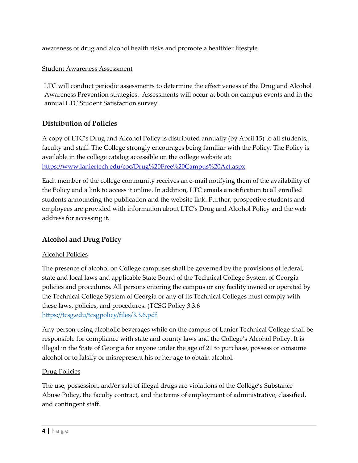awareness of drug and alcohol health risks and promote a healthier lifestyle.

## Student Awareness Assessment

 LTC will conduct periodic assessments to determine the effectiveness of the Drug and Alcohol Awareness Prevention strategies. Assessments will occur at both on campus events and in the annual LTC Student Satisfaction survey.

# **Distribution of Policies**

A copy of LTC's Drug and Alcohol Policy is distributed annually (by April 15) to all students, faculty and staff. The College strongly encourages being familiar with the Policy. The Policy is available in the college catalog accessible on the college website at: <https://www.laniertech.edu/coc/Drug%20Free%20Campus%20Act.aspx>

Each member of the college community receives an e-mail notifying them of the availability of the Policy and a link to access it online. In addition, LTC emails a notification to all enrolled students announcing the publication and the website link. Further, prospective students and employees are provided with information about LTC's Drug and Alcohol Policy and the web address for accessing it.

# **Alcohol and Drug Policy**

### Alcohol Policies

The presence of alcohol on College campuses shall be governed by the provisions of federal, state and local laws and applicable State Board of the Technical College System of Georgia policies and procedures. All persons entering the campus or any facility owned or operated by the Technical College System of Georgia or any of its Technical Colleges must comply with these laws, policies, and procedures. (TCSG Policy 3.3.6 <https://tcsg.edu/tcsgpolicy/files/3.3.6.pdf>

Any person using alcoholic beverages while on the campus of Lanier Technical College shall be responsible for compliance with state and county laws and the College's Alcohol Policy. It is illegal in the State of Georgia for anyone under the age of 21 to purchase, possess or consume alcohol or to falsify or misrepresent his or her age to obtain alcohol.

### Drug Policies

The use, possession, and/or sale of illegal drugs are violations of the College's Substance Abuse Policy, the faculty contract, and the terms of employment of administrative, classified, and contingent staff.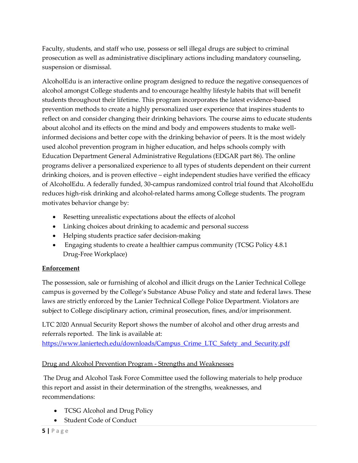Faculty, students, and staff who use, possess or sell illegal drugs are subject to criminal prosecution as well as administrative disciplinary actions including mandatory counseling, suspension or dismissal.

AlcoholEdu is an interactive online program designed to reduce the negative consequences of alcohol amongst College students and to encourage healthy lifestyle habits that will benefit students throughout their lifetime. This program incorporates the latest evidence-based prevention methods to create a highly personalized user experience that inspires students to reflect on and consider changing their drinking behaviors. The course aims to educate students about alcohol and its effects on the mind and body and empowers students to make wellinformed decisions and better cope with the drinking behavior of peers. It is the most widely used alcohol prevention program in higher education, and helps schools comply with Education Department General Administrative Regulations (EDGAR part 86). The online programs deliver a personalized experience to all types of students dependent on their current drinking choices, and is proven effective – eight independent studies have verified the efficacy of AlcoholEdu. A federally funded, 30-campus randomized control trial found that AlcoholEdu reduces high-risk drinking and alcohol-related harms among College students. The program motivates behavior change by:

- Resetting unrealistic expectations about the effects of alcohol
- Linking choices about drinking to academic and personal success
- Helping students practice safer decision-making
- Engaging students to create a healthier campus community (TCSG Policy 4.8.1) Drug-Free Workplace)

# **Enforcement**

The possession, sale or furnishing of alcohol and illicit drugs on the Lanier Technical College campus is governed by the College's Substance Abuse Policy and state and federal laws. These laws are strictly enforced by the Lanier Technical College Police Department. Violators are subject to College disciplinary action, criminal prosecution, fines, and/or imprisonment.

LTC 2020 Annual Security Report shows the number of alcohol and other drug arrests and referrals reported. The link is available at:

https://www.laniertech.edu/downloads/Campus Crime\_LTC\_Safety\_and\_Security.pdf

# Drug and Alcohol Prevention Program - Strengths and Weaknesses

The Drug and Alcohol Task Force Committee used the following materials to help produce this report and assist in their determination of the strengths, weaknesses, and recommendations:

- TCSG Alcohol and Drug Policy
- Student Code of Conduct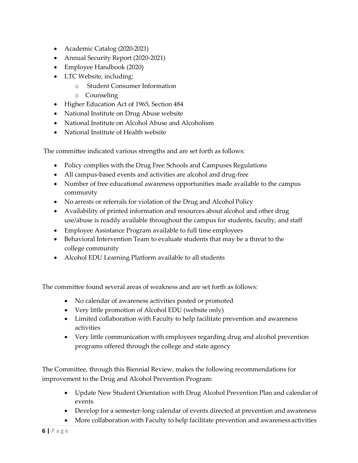- Academic Catalog (2020-2021)
- Annual Security Report (2020-2021)
- Employee Handbook (2020)
- LTC Website, including:
	- o Student Consumer Information
	- o Counseling
- Higher Education Act of 1965, Section 484
- National Institute on Drug Abuse website
- National Institute on Alcohol Abuse and Alcoholism
- National Institute of Health website

The committee indicated various strengths and are set forth as follows:

- Policy complies with the Drug Free Schools and Campuses Regulations
- All campus-based events and activities are alcohol and drug-free
- Number of free educational awareness opportunities made available to the campus community
- No arrests or referrals for violation of the Drug and Alcohol Policy
- Availability of printed information and resources about alcohol and other drug use/abuse is readily available throughout the campus for students, faculty, and staff
- Employee Assistance Program available to full time employees
- Behavioral Intervention Team to evaluate students that may be a threat to the college community
- Alcohol EDU Learning Platform available to all students

The committee found several areas of weakness and are set forth as follows:

- No calendar of awareness activities posted or promoted
- Very little promotion of Alcohol EDU (website only)
- Limited collaboration with Faculty to help facilitate prevention and awareness activities
- Very little communication with employees regarding drug and alcohol prevention programs offered through the college and state agency

The Committee, through this Biennial Review, makes the following recommendations for improvement to the Drug and Alcohol Prevention Program:

- Update New Student Orientation with Drug Alcohol Prevention Plan and calendar of events
- Develop for a semester-long calendar of events directed at prevention and awareness
- More collaboration with Faculty to help facilitate prevention and awareness activities